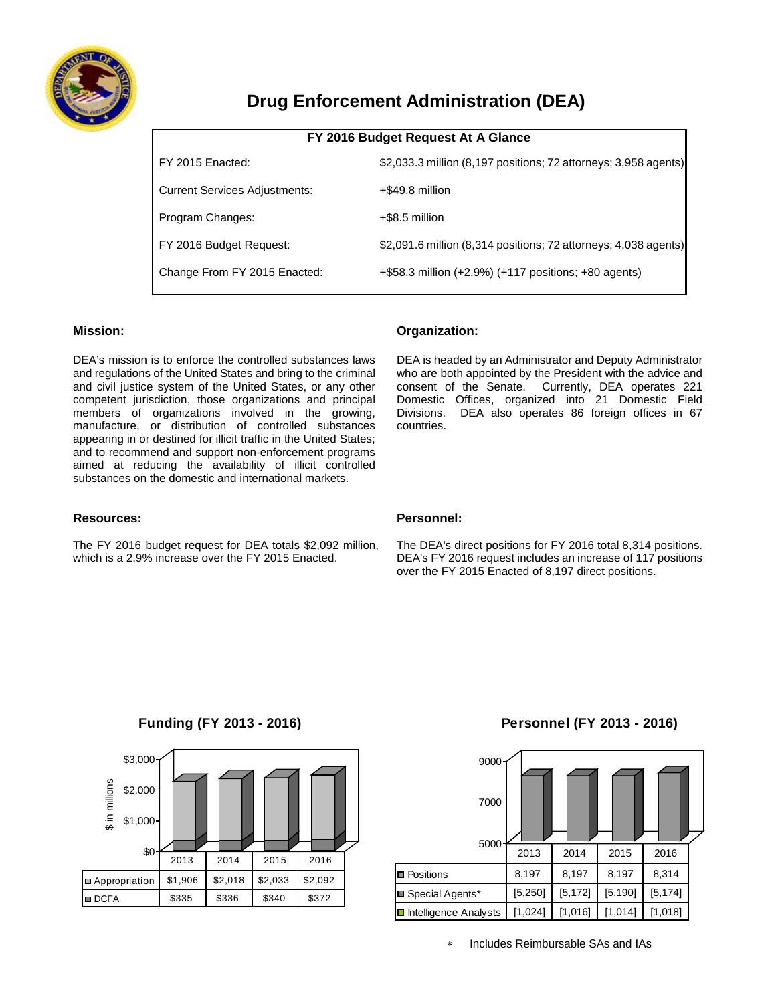

# **Drug Enforcement Administration (DEA)**

| FY 2016 Budget Request At A Glance   |                                                                 |  |  |  |  |
|--------------------------------------|-----------------------------------------------------------------|--|--|--|--|
| FY 2015 Enacted:                     | \$2,033.3 million (8,197 positions; 72 attorneys; 3,958 agents) |  |  |  |  |
| <b>Current Services Adjustments:</b> | +\$49.8 million                                                 |  |  |  |  |
| Program Changes:                     | +\$8.5 million                                                  |  |  |  |  |
| FY 2016 Budget Request:              | \$2,091.6 million (8,314 positions; 72 attorneys; 4,038 agents) |  |  |  |  |
| Change From FY 2015 Enacted:         | +\$58.3 million (+2.9%) (+117 positions; +80 agents)            |  |  |  |  |

# **Mission:**

DEA's mission is to enforce the controlled substances laws and regulations of the United States and bring to the criminal and civil justice system of the United States, or any other competent jurisdiction, those organizations and principal members of organizations involved in the growing, manufacture, or distribution of controlled substances appearing in or destined for illicit traffic in the United States; and to recommend and support non-enforcement programs aimed at reducing the availability of illicit controlled substances on the domestic and international markets.

## **Organization:**

DEA is headed by an Administrator and Deputy Administrator who are both appointed by the President with the advice and consent of the Senate. Currently, DEA operates 221 Domestic Offices, organized into 21 Domestic Field Divisions. DEA also operates 86 foreign offices in 67 countries.

## **Resources:**

The FY 2016 budget request for DEA totals \$2,092 million, which is a 2.9% increase over the FY 2015 Enacted.

#### **Personnel:**

The DEA's direct positions for FY 2016 total 8,314 positions. DEA's FY 2016 request includes an increase of 117 positions over the FY 2015 Enacted of 8,197 direct positions.



# **Funding (FY 2013 - 2016)**

## **Personnel (FY 2013 - 2016)**

| 9000<br>$7000 -$                     |          |          |          |          |  |
|--------------------------------------|----------|----------|----------|----------|--|
| 5000                                 | 2013     | 2014     | 2015     | 2016     |  |
| <b>Positions</b>                     | 8,197    | 8,197    | 8,197    | 8,314    |  |
| Special Agents*                      | [5, 250] | [5, 172] | [5, 190] | [5, 174] |  |
| $\blacksquare$ Intelligence Analysts | [1,024]  | [1,016]  | [1,014]  | [1,018]  |  |

∗ Includes Reimbursable SAs and IAs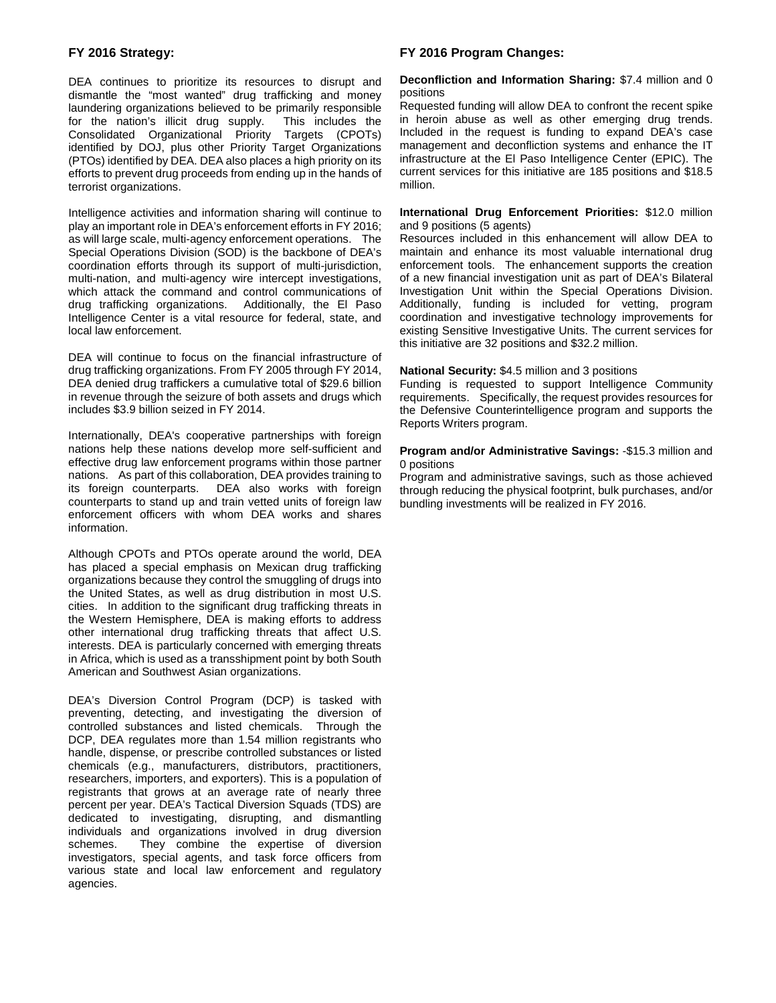#### **FY 2016 Strategy:**

DEA continues to prioritize its resources to disrupt and dismantle the "most wanted" drug trafficking and money laundering organizations believed to be primarily responsible<br>for the nation's illicit drug supply. This includes the for the nation's illicit drug supply. Consolidated Organizational Priority Targets (CPOTs) identified by DOJ, plus other Priority Target Organizations (PTOs) identified by DEA. DEA also places a high priority on its efforts to prevent drug proceeds from ending up in the hands of terrorist organizations.

Intelligence activities and information sharing will continue to play an important role in DEA's enforcement efforts in FY 2016; as will large scale, multi-agency enforcement operations. The Special Operations Division (SOD) is the backbone of DEA's coordination efforts through its support of multi-jurisdiction, multi-nation, and multi-agency wire intercept investigations, which attack the command and control communications of drug trafficking organizations. Additionally, the El Paso Intelligence Center is a vital resource for federal, state, and local law enforcement.

DEA will continue to focus on the financial infrastructure of drug trafficking organizations. From FY 2005 through FY 2014, DEA denied drug traffickers a cumulative total of \$29.6 billion in revenue through the seizure of both assets and drugs which includes \$3.9 billion seized in FY 2014.

Internationally, DEA's cooperative partnerships with foreign nations help these nations develop more self-sufficient and effective drug law enforcement programs within those partner nations. As part of this collaboration, DEA provides training to its foreign counterparts. DEA also works with foreign DEA also works with foreign counterparts to stand up and train vetted units of foreign law enforcement officers with whom DEA works and shares information.

Although CPOTs and PTOs operate around the world, DEA has placed a special emphasis on Mexican drug trafficking organizations because they control the smuggling of drugs into the United States, as well as drug distribution in most U.S. cities. In addition to the significant drug trafficking threats in the Western Hemisphere, DEA is making efforts to address other international drug trafficking threats that affect U.S. interests. DEA is particularly concerned with emerging threats in Africa, which is used as a transshipment point by both South American and Southwest Asian organizations.

DEA's Diversion Control Program (DCP) is tasked with preventing, detecting, and investigating the diversion of controlled substances and listed chemicals. Through the DCP, DEA regulates more than 1.54 million registrants who handle, dispense, or prescribe controlled substances or listed chemicals (e.g., manufacturers, distributors, practitioners, researchers, importers, and exporters). This is a population of registrants that grows at an average rate of nearly three percent per year. DEA's Tactical Diversion Squads (TDS) are dedicated to investigating, disrupting, and dismantling individuals and organizations involved in drug diversion schemes. They combine the expertise of diversion investigators, special agents, and task force officers from various state and local law enforcement and regulatory agencies.

## **FY 2016 Program Changes:**

#### **Deconfliction and Information Sharing:** \$7.4 million and 0 positions

Requested funding will allow DEA to confront the recent spike in heroin abuse as well as other emerging drug trends. Included in the request is funding to expand DEA's case management and deconfliction systems and enhance the IT infrastructure at the El Paso Intelligence Center (EPIC). The current services for this initiative are 185 positions and \$18.5 million.

#### **International Drug Enforcement Priorities:** \$12.0 million and 9 positions (5 agents)

Resources included in this enhancement will allow DEA to maintain and enhance its most valuable international drug enforcement tools. The enhancement supports the creation of a new financial investigation unit as part of DEA's Bilateral Investigation Unit within the Special Operations Division. Additionally, funding is included for vetting, program coordination and investigative technology improvements for existing Sensitive Investigative Units. The current services for this initiative are 32 positions and \$32.2 million.

#### **National Security:** \$4.5 million and 3 positions

Funding is requested to support Intelligence Community requirements. Specifically, the request provides resources for the Defensive Counterintelligence program and supports the Reports Writers program.

#### **Program and/or Administrative Savings:** -\$15.3 million and 0 positions

Program and administrative savings, such as those achieved through reducing the physical footprint, bulk purchases, and/or bundling investments will be realized in FY 2016.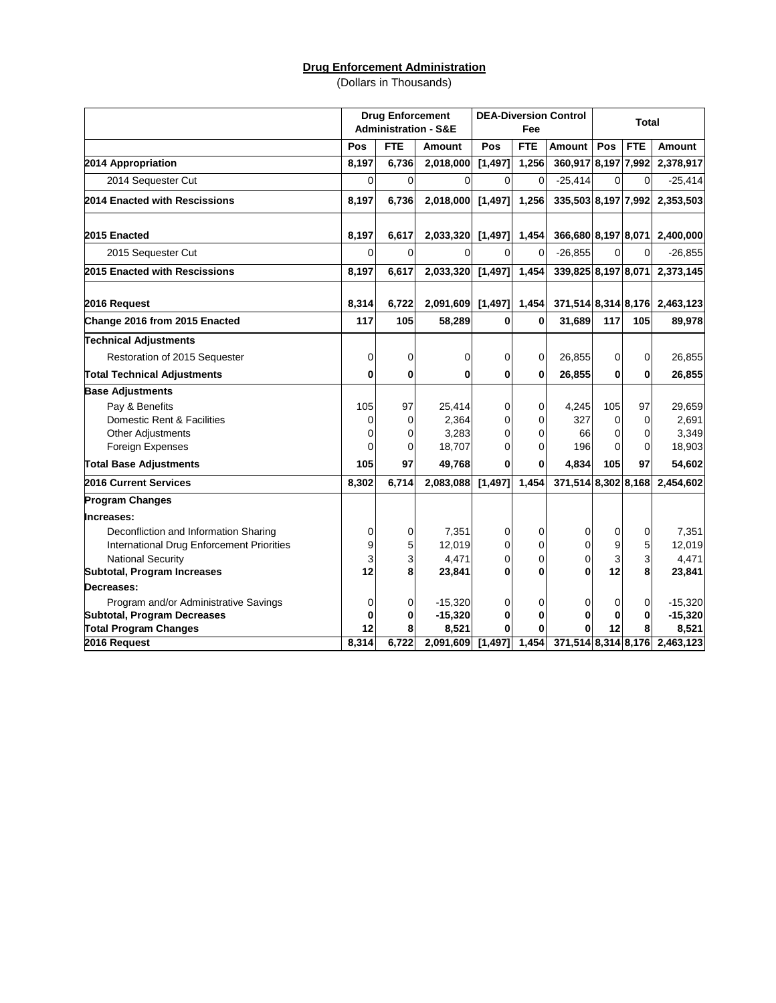# **Drug Enforcement Administration**

(Dollars in Thousands)

|                                           |       | <b>Drug Enforcement</b> | <b>Administration - S&amp;E</b> | <b>DEA-Diversion Control</b><br>Fee |            | <b>Total</b>        |             |                |                               |
|-------------------------------------------|-------|-------------------------|---------------------------------|-------------------------------------|------------|---------------------|-------------|----------------|-------------------------------|
|                                           | Pos   | <b>FTE</b>              | <b>Amount</b>                   | Pos                                 | <b>FTE</b> | Amount              | Pos         | <b>FTE</b>     | <b>Amount</b>                 |
| 2014 Appropriation                        | 8,197 | 6,736                   | 2,018,000                       | [1,497]                             | 1,256      | 360,917 8,197 7,992 |             |                | 2,378,917                     |
| 2014 Sequester Cut                        | 0     | $\Omega$                | $\Omega$                        | $\Omega$                            | 0          | $-25,414$           | 0           | $\Omega$       | $-25,414$                     |
| 2014 Enacted with Rescissions             | 8,197 | 6,736                   | 2,018,000                       | [1,497]                             | 1,256      | 335,503 8,197 7,992 |             |                | 2,353,503                     |
| 2015 Enacted                              | 8,197 | 6,617                   | 2,033,320                       | [1,497]                             | 1,454      | 366,680 8,197 8,071 |             |                | 2,400,000                     |
| 2015 Sequester Cut                        | 0     | 0                       | 0                               | 0                                   | 0          | $-26,855$           | 0           | $\overline{0}$ | $-26,855$                     |
| 2015 Enacted with Rescissions             | 8,197 | 6,617                   | 2,033,320                       | [1,497]                             | 1,454      | 339,825 8,197 8,071 |             |                | 2,373,145                     |
| 2016 Request                              | 8,314 | 6,722                   | 2,091,609                       | [1, 497]                            | 1,454      | 371,514 8,314 8,176 |             |                | 2,463,123                     |
| Change 2016 from 2015 Enacted             | 117   | 105                     | 58,289                          | $\mathbf 0$                         | 0          | 31,689              | 117         | 105            | 89,978                        |
| <b>Technical Adjustments</b>              |       |                         |                                 |                                     |            |                     |             |                |                               |
| Restoration of 2015 Sequester             | 0     | 0                       | 0                               | 0                                   | 0          | 26,855              | 0           | $\mathbf 0$    | 26,855                        |
| <b>Total Technical Adjustments</b>        | 0     | $\bf{0}$                | $\mathbf 0$                     | $\mathbf 0$                         | 0          | 26,855              | 0           | 0              | 26,855                        |
| <b>Base Adjustments</b>                   |       |                         |                                 |                                     |            |                     |             |                |                               |
| Pay & Benefits                            | 105   | 97                      | 25,414                          | 0                                   | 0          | 4,245               | 105         | 97             | 29,659                        |
| Domestic Rent & Facilities                | 0     | 0                       | 2,364                           | 0                                   | 0          | 327                 | $\mathbf 0$ | 0              | 2,691                         |
| <b>Other Adjustments</b>                  | 0     | 0                       | 3,283                           | 0                                   | 0          | 66                  | 0           | 0              | 3,349                         |
| Foreign Expenses                          | 0     | 0                       | 18,707                          | 0                                   | 0          | 196                 | $\Omega$    | 0              | 18,903                        |
| <b>Total Base Adjustments</b>             | 105   | 97                      | 49,768                          | $\bf{0}$                            | 0          | 4.834               | 105         | 97             | 54,602                        |
| 2016 Current Services                     | 8,302 | 6,714                   | 2,083,088                       | [1, 497]                            | 1,454      | 371,514 8,302 8,168 |             |                | 2,454,602                     |
| <b>Program Changes</b>                    |       |                         |                                 |                                     |            |                     |             |                |                               |
| Increases:                                |       |                         |                                 |                                     |            |                     |             |                |                               |
| Deconfliction and Information Sharing     | 0     | 0                       | 7,351                           | 0                                   | 0          | 0                   | 0           | 0              | 7,351                         |
| International Drug Enforcement Priorities | 9     | 5                       | 12,019                          | 0                                   | 0          | 0                   | 9           | 5              | 12,019                        |
| <b>National Security</b>                  | 3     | 3                       | 4,471                           | 0                                   | 0          | $\mathbf 0$         | 3           | 3              | 4,471                         |
| Subtotal, Program Increases               | 12    | 8                       | 23,841                          | $\bf{0}$                            | $\bf{0}$   | 0                   | 12          | 8              | 23,841                        |
| Decreases:                                |       |                         |                                 |                                     |            |                     |             |                |                               |
| Program and/or Administrative Savings     | 0     | 0                       | $-15,320$                       | 0                                   | 0          | 0                   | 0           | 0              | $-15,320$                     |
| <b>Subtotal, Program Decreases</b>        | 0     | 0                       | $-15,320$                       | $\bf{0}$                            | 0          | 0                   | $\bf{0}$    | 0              | $-15,320$                     |
| <b>Total Program Changes</b>              | 12    | 8                       | 8,521                           | 0                                   | 0          |                     | 12          | 8              | 8,521                         |
| 2016 Request                              | 8,314 | 6,722                   | 2,091,609                       | [1,497]                             | 1,454      |                     |             |                | 371,514 8,314 8,176 2,463,123 |